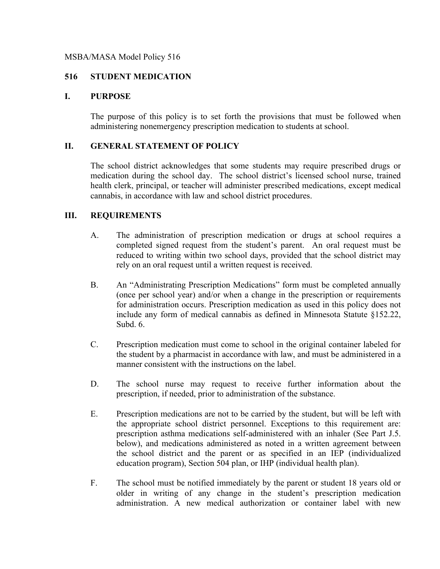## MSBA/MASA Model Policy 516

# **516 STUDENT MEDICATION**

## **I. PURPOSE**

The purpose of this policy is to set forth the provisions that must be followed when administering nonemergency prescription medication to students at school.

## **II. GENERAL STATEMENT OF POLICY**

The school district acknowledges that some students may require prescribed drugs or medication during the school day. The school district's licensed school nurse, trained health clerk, principal, or teacher will administer prescribed medications, except medical cannabis, in accordance with law and school district procedures.

# **III. REQUIREMENTS**

- A. The administration of prescription medication or drugs at school requires a completed signed request from the student's parent. An oral request must be reduced to writing within two school days, provided that the school district may rely on an oral request until a written request is received.
- B. An "Administrating Prescription Medications" form must be completed annually (once per school year) and/or when a change in the prescription or requirements for administration occurs. Prescription medication as used in this policy does not include any form of medical cannabis as defined in Minnesota Statute §152.22, Subd. 6.
- C. Prescription medication must come to school in the original container labeled for the student by a pharmacist in accordance with law, and must be administered in a manner consistent with the instructions on the label.
- D. The school nurse may request to receive further information about the prescription, if needed, prior to administration of the substance.
- E. Prescription medications are not to be carried by the student, but will be left with the appropriate school district personnel. Exceptions to this requirement are: prescription asthma medications self-administered with an inhaler (See Part J.5. below), and medications administered as noted in a written agreement between the school district and the parent or as specified in an IEP (individualized education program), Section 504 plan, or IHP (individual health plan).
- F. The school must be notified immediately by the parent or student 18 years old or older in writing of any change in the student's prescription medication administration. A new medical authorization or container label with new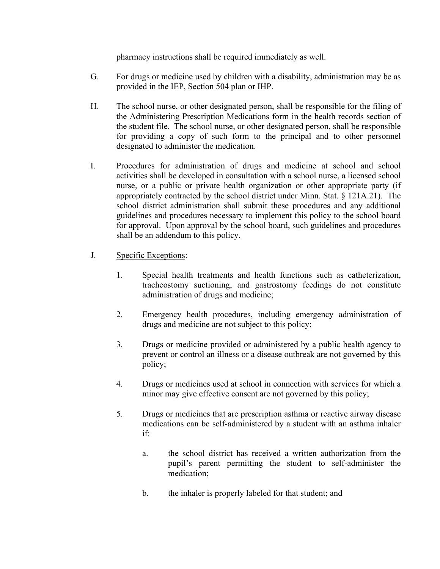pharmacy instructions shall be required immediately as well.

- G. For drugs or medicine used by children with a disability, administration may be as provided in the IEP, Section 504 plan or IHP.
- H. The school nurse, or other designated person, shall be responsible for the filing of the Administering Prescription Medications form in the health records section of the student file. The school nurse, or other designated person, shall be responsible for providing a copy of such form to the principal and to other personnel designated to administer the medication.
- I. Procedures for administration of drugs and medicine at school and school activities shall be developed in consultation with a school nurse, a licensed school nurse, or a public or private health organization or other appropriate party (if appropriately contracted by the school district under Minn. Stat. § 121A.21). The school district administration shall submit these procedures and any additional guidelines and procedures necessary to implement this policy to the school board for approval. Upon approval by the school board, such guidelines and procedures shall be an addendum to this policy.
- J. Specific Exceptions:
	- 1. Special health treatments and health functions such as catheterization, tracheostomy suctioning, and gastrostomy feedings do not constitute administration of drugs and medicine;
	- 2. Emergency health procedures, including emergency administration of drugs and medicine are not subject to this policy;
	- 3. Drugs or medicine provided or administered by a public health agency to prevent or control an illness or a disease outbreak are not governed by this policy;
	- 4. Drugs or medicines used at school in connection with services for which a minor may give effective consent are not governed by this policy;
	- 5. Drugs or medicines that are prescription asthma or reactive airway disease medications can be self-administered by a student with an asthma inhaler if:
		- a. the school district has received a written authorization from the pupil's parent permitting the student to self-administer the medication;
		- b. the inhaler is properly labeled for that student; and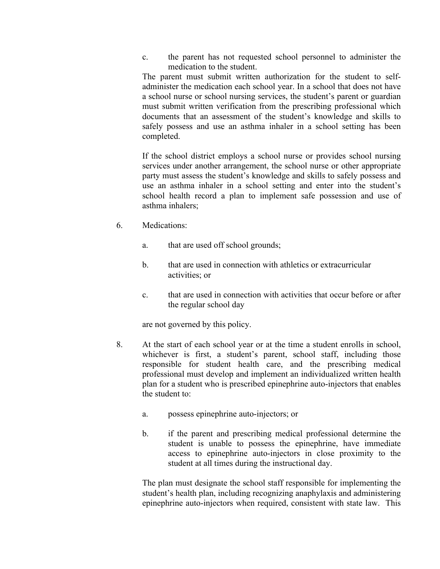c. the parent has not requested school personnel to administer the medication to the student.

The parent must submit written authorization for the student to selfadminister the medication each school year. In a school that does not have a school nurse or school nursing services, the student's parent or guardian must submit written verification from the prescribing professional which documents that an assessment of the student's knowledge and skills to safely possess and use an asthma inhaler in a school setting has been completed.

If the school district employs a school nurse or provides school nursing services under another arrangement, the school nurse or other appropriate party must assess the student's knowledge and skills to safely possess and use an asthma inhaler in a school setting and enter into the student's school health record a plan to implement safe possession and use of asthma inhalers;

- 6. Medications:
	- a. that are used off school grounds;
	- b. that are used in connection with athletics or extracurricular activities; or
	- c. that are used in connection with activities that occur before or after the regular school day

are not governed by this policy.

- 8. At the start of each school year or at the time a student enrolls in school, whichever is first, a student's parent, school staff, including those responsible for student health care, and the prescribing medical professional must develop and implement an individualized written health plan for a student who is prescribed epinephrine auto-injectors that enables the student to:
	- a. possess epinephrine auto-injectors; or
	- b. if the parent and prescribing medical professional determine the student is unable to possess the epinephrine, have immediate access to epinephrine auto-injectors in close proximity to the student at all times during the instructional day.

The plan must designate the school staff responsible for implementing the student's health plan, including recognizing anaphylaxis and administering epinephrine auto-injectors when required, consistent with state law. This